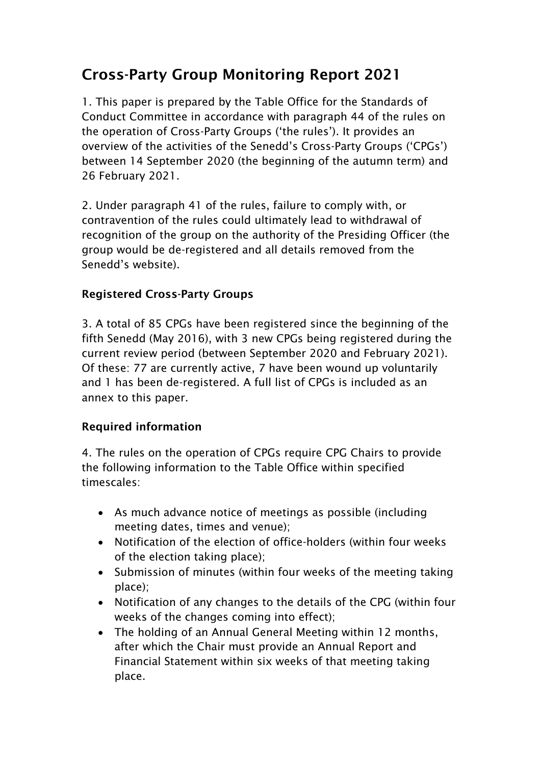## Cross-Party Group Monitoring Report 2021

1. This paper is prepared by the Table Office for the Standards of Conduct Committee in accordance with paragraph 44 of the rules on the operation of Cross-Party Groups ('the rules'). It provides an overview of the activities of the Senedd's Cross-Party Groups ('CPGs') between 14 September 2020 (the beginning of the autumn term) and 26 February 2021.

2. Under paragraph 41 of the rules, failure to comply with, or contravention of the rules could ultimately lead to withdrawal of recognition of the group on the authority of the Presiding Officer (the group would be de-registered and all details removed from the Senedd's website).

### Registered Cross-Party Groups

3. A total of 85 CPGs have been registered since the beginning of the fifth Senedd (May 2016), with 3 new CPGs being registered during the current review period (between September 2020 and February 2021). Of these: 77 are currently active, 7 have been wound up voluntarily and 1 has been de-registered. A full list of CPGs is included as an annex to this paper.

#### Required information

4. The rules on the operation of CPGs require CPG Chairs to provide the following information to the Table Office within specified timescales:

- As much advance notice of meetings as possible (including meeting dates, times and venue);
- Notification of the election of office-holders (within four weeks of the election taking place);
- Submission of minutes (within four weeks of the meeting taking place);
- Notification of any changes to the details of the CPG (within four weeks of the changes coming into effect);
- The holding of an Annual General Meeting within 12 months, after which the Chair must provide an Annual Report and Financial Statement within six weeks of that meeting taking place.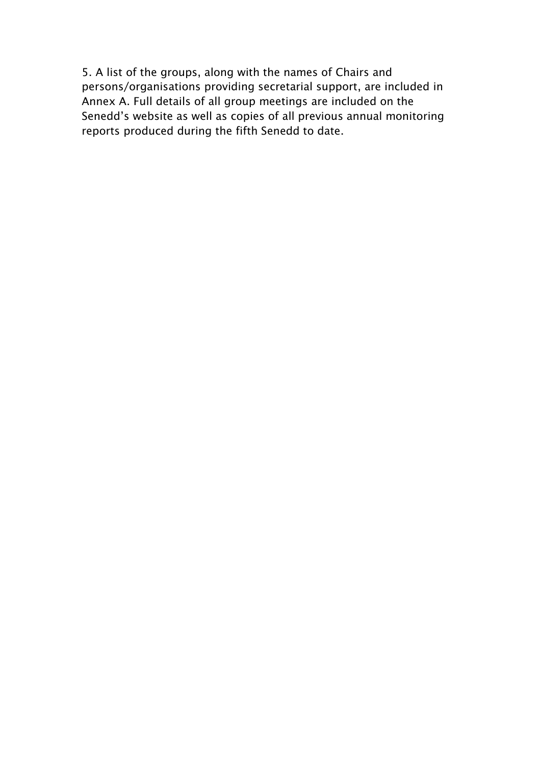5. A list of the groups, along with the names of Chairs and persons/organisations providing secretarial support, are included in Annex A. Full details of all group meetings are included on the Senedd's website as well as copies of all previous annual monitoring reports produced during the fifth Senedd to date.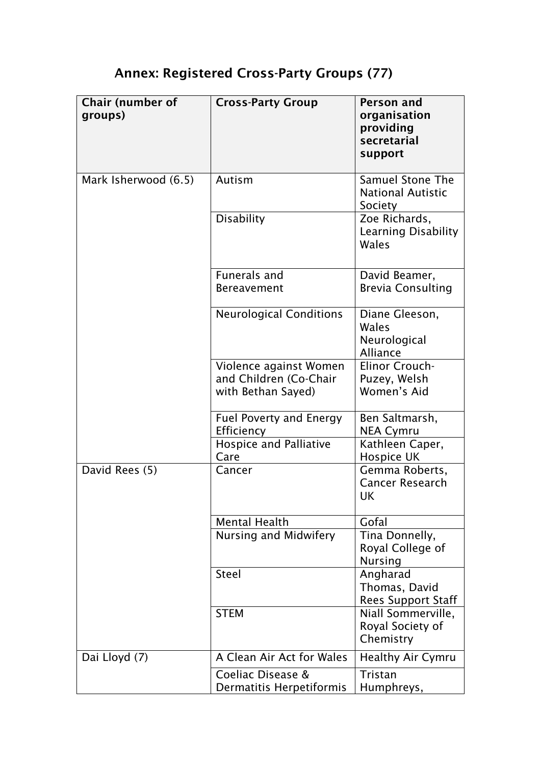# Annex: Registered Cross-Party Groups (77)

| Chair (number of<br>groups) | <b>Cross-Party Group</b>                                               | Person and<br>organisation<br>providing<br>secretarial<br>support |
|-----------------------------|------------------------------------------------------------------------|-------------------------------------------------------------------|
| Mark Isherwood (6.5)        | Autism                                                                 | <b>Samuel Stone The</b><br><b>National Autistic</b><br>Society    |
|                             | <b>Disability</b>                                                      | Zoe Richards,<br>Learning Disability<br>Wales                     |
|                             | <b>Funerals and</b><br><b>Bereavement</b>                              | David Beamer,<br><b>Brevia Consulting</b>                         |
|                             | <b>Neurological Conditions</b>                                         | Diane Gleeson,<br>Wales<br>Neurological<br><b>Alliance</b>        |
|                             | Violence against Women<br>and Children (Co-Chair<br>with Bethan Sayed) | Elinor Crouch-<br>Puzey, Welsh<br>Women's Aid                     |
|                             | <b>Fuel Poverty and Energy</b><br>Efficiency                           | Ben Saltmarsh,<br><b>NEA Cymru</b>                                |
|                             | Hospice and Palliative<br>Care                                         | Kathleen Caper,<br>Hospice UK                                     |
| David Rees (5)              | Cancer                                                                 | Gemma Roberts,<br><b>Cancer Research</b><br>UK                    |
|                             | <b>Mental Health</b>                                                   | Gofal                                                             |
|                             | Nursing and Midwifery                                                  | Tina Donnelly,<br>Royal College of<br><b>Nursing</b>              |
|                             | <b>Steel</b>                                                           | Angharad<br>Thomas, David<br><b>Rees Support Staff</b>            |
|                             | <b>STEM</b>                                                            | Niall Sommerville,<br>Royal Society of<br>Chemistry               |
| Dai Lloyd (7)               | A Clean Air Act for Wales                                              | <b>Healthy Air Cymru</b>                                          |
|                             | Coeliac Disease &<br>Dermatitis Herpetiformis                          | Tristan<br>Humphreys,                                             |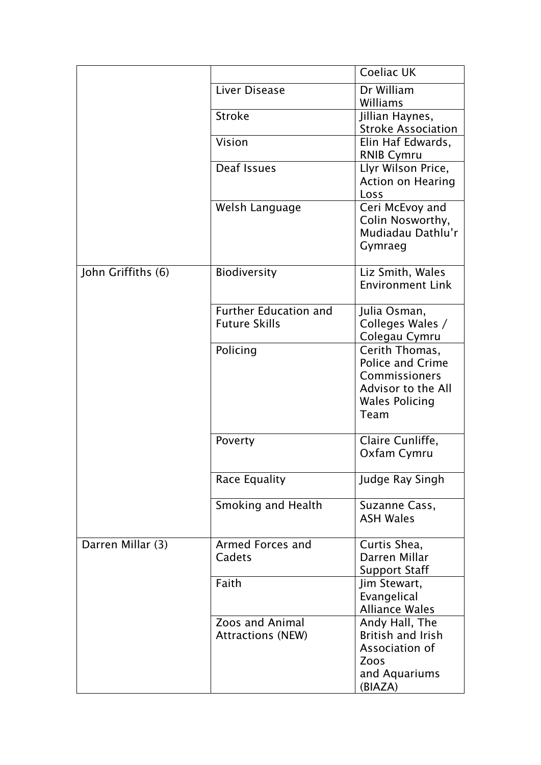|                    |                                                      | <b>Coeliac UK</b>                                                                                                 |
|--------------------|------------------------------------------------------|-------------------------------------------------------------------------------------------------------------------|
|                    | Liver Disease                                        | Dr William<br>Williams                                                                                            |
|                    | <b>Stroke</b>                                        | Jillian Haynes,<br><b>Stroke Association</b>                                                                      |
|                    | Vision                                               | Elin Haf Edwards,<br><b>RNIB Cymru</b>                                                                            |
|                    | Deaf Issues                                          | Llyr Wilson Price,<br><b>Action on Hearing</b><br>Loss                                                            |
|                    | Welsh Language                                       | Ceri McEvoy and<br>Colin Nosworthy,<br>Mudiadau Dathlu'r<br>Gymraeg                                               |
| John Griffiths (6) | Biodiversity                                         | Liz Smith, Wales<br><b>Environment Link</b>                                                                       |
|                    | <b>Further Education and</b><br><b>Future Skills</b> | Julia Osman,<br>Colleges Wales /<br>Colegau Cymru                                                                 |
|                    | Policing                                             | Cerith Thomas,<br><b>Police and Crime</b><br>Commissioners<br>Advisor to the All<br><b>Wales Policing</b><br>Team |
|                    | Poverty                                              | Claire Cunliffe,<br>Oxfam Cymru                                                                                   |
|                    | Race Equality                                        | Judge Ray Singh                                                                                                   |
|                    | Smoking and Health                                   | Suzanne Cass,<br><b>ASH Wales</b>                                                                                 |
| Darren Millar (3)  | Armed Forces and<br>Cadets                           | Curtis Shea,<br>Darren Millar<br><b>Support Staff</b>                                                             |
|                    | Faith                                                | Jim Stewart,<br>Evangelical<br><b>Alliance Wales</b>                                                              |
|                    | Zoos and Animal<br><b>Attractions (NEW)</b>          | Andy Hall, The<br><b>British and Irish</b><br>Association of<br>Zoos<br>and Aquariums<br>(BIAZA)                  |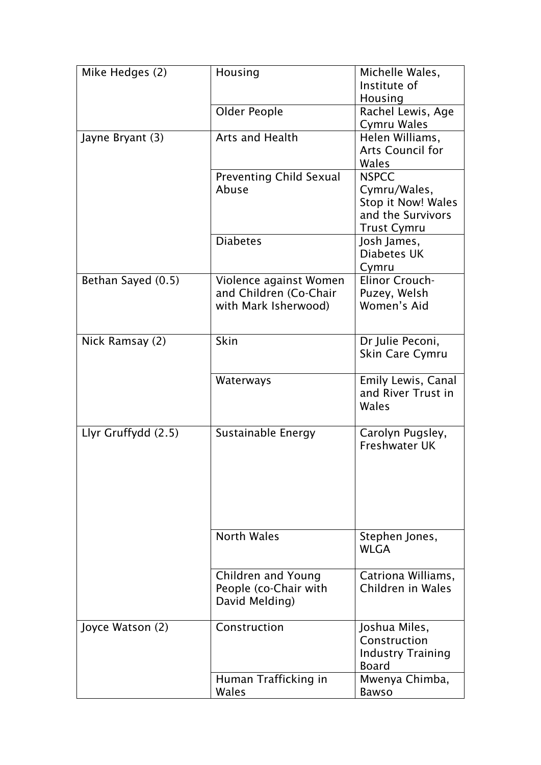| Mike Hedges (2)     | Housing                        | Michelle Wales,           |
|---------------------|--------------------------------|---------------------------|
|                     |                                | Institute of              |
|                     |                                | Housing                   |
|                     | Older People                   | Rachel Lewis, Age         |
|                     |                                | Cymru Wales               |
| Jayne Bryant (3)    | Arts and Health                | Helen Williams,           |
|                     |                                | <b>Arts Council for</b>   |
|                     |                                | Wales                     |
|                     | <b>Preventing Child Sexual</b> | <b>NSPCC</b>              |
|                     | Abuse                          | Cymru/Wales,              |
|                     |                                | Stop it Now! Wales        |
|                     |                                | and the Survivors         |
|                     |                                | <b>Trust Cymru</b>        |
|                     | <b>Diabetes</b>                | Josh James,               |
|                     |                                | Diabetes UK               |
|                     |                                | Cymru                     |
| Bethan Sayed (0.5)  | Violence against Women         | Elinor Crouch-            |
|                     | and Children (Co-Chair         | Puzey, Welsh              |
|                     | with Mark Isherwood)           | Women's Aid               |
|                     |                                |                           |
|                     |                                |                           |
| Nick Ramsay (2)     | Skin                           | Dr Julie Peconi,          |
|                     |                                | Skin Care Cymru           |
|                     |                                |                           |
|                     | Waterways                      | <b>Emily Lewis, Canal</b> |
|                     |                                | and River Trust in        |
|                     |                                | Wales                     |
|                     |                                |                           |
| Llyr Gruffydd (2.5) | Sustainable Energy             | Carolyn Pugsley,          |
|                     |                                | <b>Freshwater UK</b>      |
|                     |                                |                           |
|                     |                                |                           |
|                     |                                |                           |
|                     |                                |                           |
|                     |                                |                           |
|                     |                                |                           |
|                     | <b>North Wales</b>             | Stephen Jones,            |
|                     |                                | <b>WLGA</b>               |
|                     |                                |                           |
|                     | Children and Young             | Catriona Williams,        |
|                     | People (co-Chair with          | Children in Wales         |
|                     | David Melding)                 |                           |
|                     |                                |                           |
| Joyce Watson (2)    | Construction                   | Joshua Miles,             |
|                     |                                | Construction              |
|                     |                                | <b>Industry Training</b>  |
|                     |                                | <b>Board</b>              |
|                     | Human Trafficking in           | Mwenya Chimba,            |
|                     | Wales                          | <b>Bawso</b>              |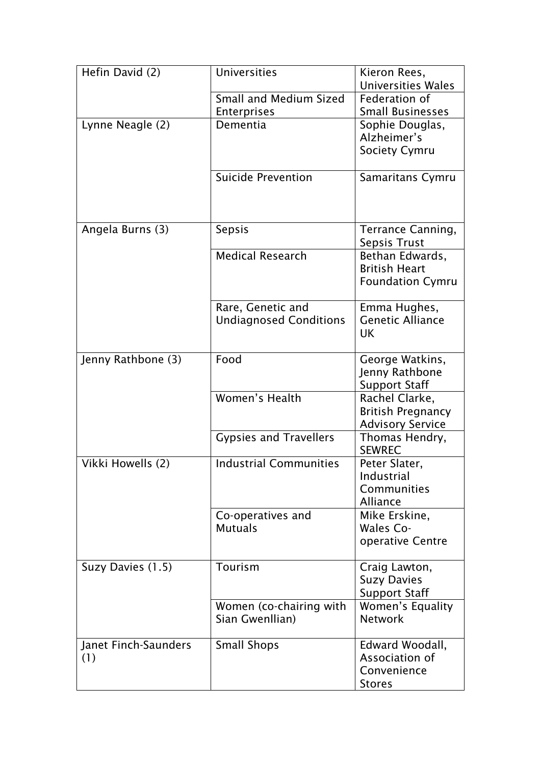| Hefin David (2)             | <b>Universities</b>                                | Kieron Rees,<br><b>Universities Wales</b>                             |
|-----------------------------|----------------------------------------------------|-----------------------------------------------------------------------|
|                             | Small and Medium Sized<br><b>Enterprises</b>       | Federation of<br><b>Small Businesses</b>                              |
| Lynne Neagle (2)            | Dementia                                           | Sophie Douglas,<br>Alzheimer's<br><b>Society Cymru</b>                |
|                             | <b>Suicide Prevention</b>                          | Samaritans Cymru                                                      |
| Angela Burns (3)            | Sepsis                                             | Terrance Canning,<br>Sepsis Trust                                     |
|                             | <b>Medical Research</b>                            | Bethan Edwards,<br><b>British Heart</b><br><b>Foundation Cymru</b>    |
|                             | Rare, Genetic and<br><b>Undiagnosed Conditions</b> | Emma Hughes,<br><b>Genetic Alliance</b><br><b>UK</b>                  |
| Jenny Rathbone (3)          | Food                                               | George Watkins,<br>Jenny Rathbone<br><b>Support Staff</b>             |
|                             | Women's Health                                     | Rachel Clarke,<br><b>British Pregnancy</b><br><b>Advisory Service</b> |
|                             | <b>Gypsies and Travellers</b>                      | Thomas Hendry,<br><b>SEWREC</b>                                       |
| Vikki Howells (2)           | <b>Industrial Communities</b>                      | Peter Slater,<br>Industrial<br>Communities<br>Alliance                |
|                             | Co-operatives and<br><b>Mutuals</b>                | Mike Erskine,<br>Wales Co-<br>operative Centre                        |
| Suzy Davies (1.5)           | Tourism                                            | Craig Lawton,<br><b>Suzy Davies</b><br><b>Support Staff</b>           |
|                             | Women (co-chairing with<br>Sian Gwenllian)         | Women's Equality<br><b>Network</b>                                    |
| Janet Finch-Saunders<br>(1) | <b>Small Shops</b>                                 | Edward Woodall,<br>Association of<br>Convenience<br><b>Stores</b>     |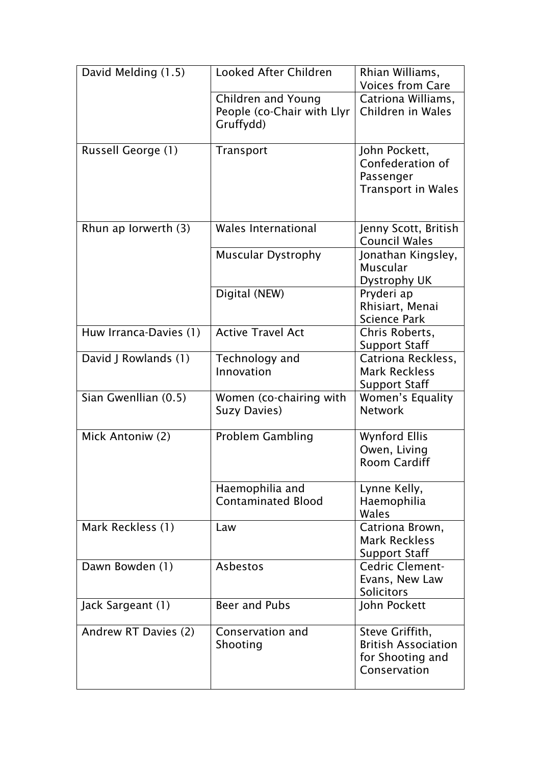| David Melding (1.5)    | <b>Looked After Children</b>                                  | Rhian Williams,<br><b>Voices from Care</b>                                        |
|------------------------|---------------------------------------------------------------|-----------------------------------------------------------------------------------|
|                        | Children and Young<br>People (co-Chair with Llyr<br>Gruffydd) | Catriona Williams,<br>Children in Wales                                           |
| Russell George (1)     | Transport                                                     | John Pockett,<br>Confederation of<br>Passenger<br><b>Transport in Wales</b>       |
| Rhun ap Iorwerth (3)   | Wales International                                           | Jenny Scott, British<br><b>Council Wales</b>                                      |
|                        | <b>Muscular Dystrophy</b>                                     | Jonathan Kingsley,<br><b>Muscular</b><br>Dystrophy UK                             |
|                        | Digital (NEW)                                                 | Pryderi ap<br>Rhisiart, Menai<br><b>Science Park</b>                              |
| Huw Irranca-Davies (1) | <b>Active Travel Act</b>                                      | Chris Roberts,<br><b>Support Staff</b>                                            |
| David J Rowlands (1)   | Technology and<br>Innovation                                  | Catriona Reckless,<br><b>Mark Reckless</b><br><b>Support Staff</b>                |
| Sian Gwenllian (0.5)   | Women (co-chairing with<br>Suzy Davies)                       | Women's Equality<br><b>Network</b>                                                |
| Mick Antoniw (2)       | <b>Problem Gambling</b>                                       | <b>Wynford Ellis</b><br>Owen, Living<br><b>Room Cardiff</b>                       |
|                        | Haemophilia and<br><b>Contaminated Blood</b>                  | Lynne Kelly,<br>Haemophilia<br>Wales                                              |
| Mark Reckless (1)      | Law                                                           | Catriona Brown,<br><b>Mark Reckless</b><br><b>Support Staff</b>                   |
| Dawn Bowden (1)        | Asbestos                                                      | <b>Cedric Clement-</b><br>Evans, New Law<br>Solicitors                            |
| Jack Sargeant (1)      | Beer and Pubs                                                 | John Pockett                                                                      |
| Andrew RT Davies (2)   | Conservation and<br>Shooting                                  | Steve Griffith,<br><b>British Association</b><br>for Shooting and<br>Conservation |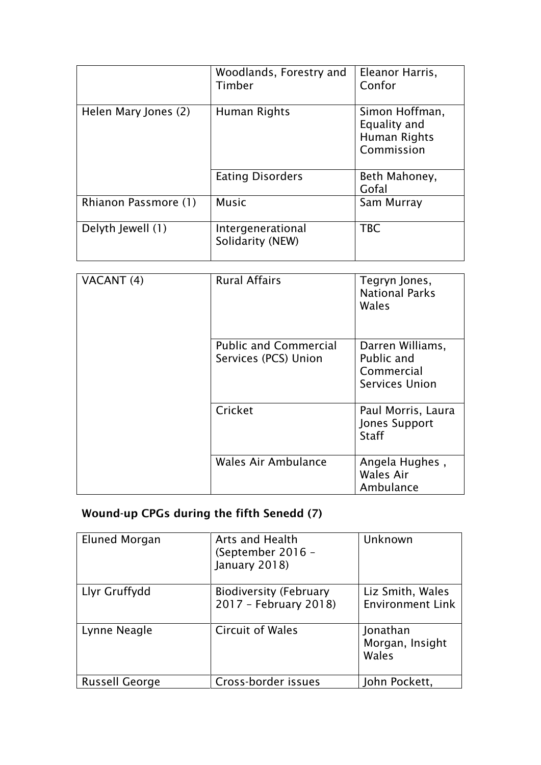|                      | Woodlands, Forestry and<br>Timber     | Eleanor Harris,<br>Confor                                    |
|----------------------|---------------------------------------|--------------------------------------------------------------|
| Helen Mary Jones (2) | Human Rights                          | Simon Hoffman,<br>Equality and<br>Human Rights<br>Commission |
|                      | <b>Eating Disorders</b>               | Beth Mahoney,<br>Gofal                                       |
| Rhianon Passmore (1) | <b>Music</b>                          | Sam Murray                                                   |
| Delyth Jewell (1)    | Intergenerational<br>Solidarity (NEW) | <b>TBC</b>                                                   |

| VACANT (4) | <b>Rural Affairs</b>                                 | Tegryn Jones,<br><b>National Parks</b><br>Wales                |
|------------|------------------------------------------------------|----------------------------------------------------------------|
|            | <b>Public and Commercial</b><br>Services (PCS) Union | Darren Williams,<br>Public and<br>Commercial<br>Services Union |
|            | Cricket                                              | Paul Morris, Laura<br>Jones Support<br><b>Staff</b>            |
|            | Wales Air Ambulance                                  | Angela Hughes,<br>Wales Air<br>Ambulance                       |

### Wound-up CPGs during the fifth Senedd (7)

| Eluned Morgan         | Arts and Health<br>(September 2016 -<br>January 2018)  | Unknown                                     |
|-----------------------|--------------------------------------------------------|---------------------------------------------|
| Llyr Gruffydd         | <b>Biodiversity (February</b><br>2017 - February 2018) | Liz Smith, Wales<br><b>Environment Link</b> |
| Lynne Neagle          | <b>Circuit of Wales</b>                                | Jonathan<br>Morgan, Insight<br>Wales        |
| <b>Russell George</b> | Cross-border issues                                    | John Pockett,                               |